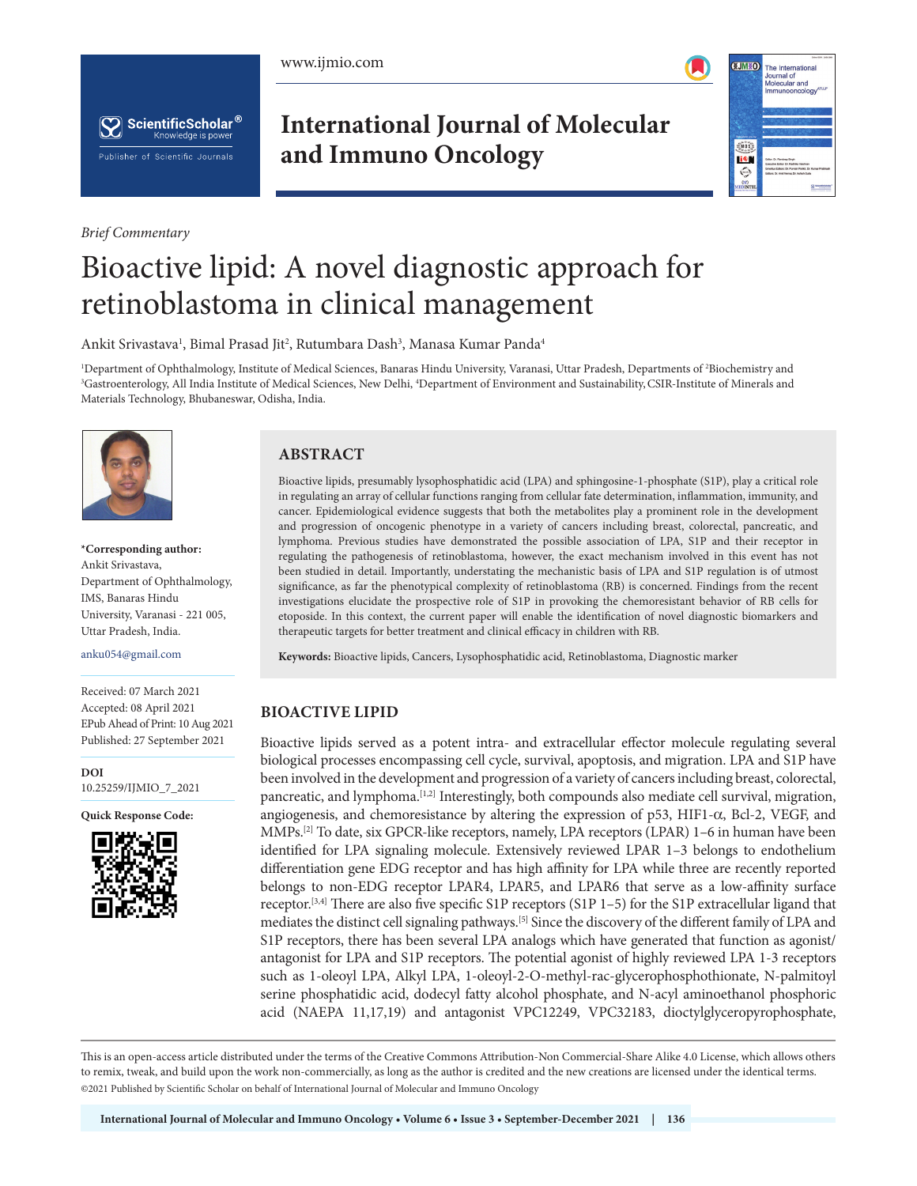





*Brief Commentary*

# **International Journal of Molecular and Immuno Oncology**



# Bioactive lipid: A novel diagnostic approach for retinoblastoma in clinical management

Ankit Srivastava<sup>1</sup>, Bimal Prasad Jit<sup>2</sup>, Rutumbara Dash<sup>3</sup>, Manasa Kumar Panda<sup>4</sup>

<sup>1</sup>Department of Ophthalmology, Institute of Medical Sciences, Banaras Hindu University, Varanasi, Uttar Pradesh, Departments of <sup>2</sup>Biochemistry and<br><sup>3</sup>Gastroenterology, All India Institute of Medical Sciences, New Delhi, Gastroenterology, All India Institute of Medical Sciences, New Delhi, 4 Department of Environment and Sustainability,CSIR-Institute of Minerals and Materials Technology, Bhubaneswar, Odisha, India.



**\*Corresponding author:** Ankit Srivastava, Department of Ophthalmology, IMS, Banaras Hindu University, Varanasi - 221 005, Uttar Pradesh, India.

anku054@gmail.com

Received: 07 March 2021 Accepted: 08 April 2021 EPub Ahead of Print: 10 Aug 2021 Published: 27 September 2021

**DOI** [10.25259/IJMIO\\_7\\_2021](https://dx.doi.org/10.25259/IJMIO_7_2021)

**Quick Response Code:**



# **ABSTRACT**

Bioactive lipids, presumably lysophosphatidic acid (LPA) and sphingosine-1-phosphate (S1P), play a critical role in regulating an array of cellular functions ranging from cellular fate determination, inflammation, immunity, and cancer. Epidemiological evidence suggests that both the metabolites play a prominent role in the development and progression of oncogenic phenotype in a variety of cancers including breast, colorectal, pancreatic, and lymphoma. Previous studies have demonstrated the possible association of LPA, S1P and their receptor in regulating the pathogenesis of retinoblastoma, however, the exact mechanism involved in this event has not been studied in detail. Importantly, understating the mechanistic basis of LPA and S1P regulation is of utmost significance, as far the phenotypical complexity of retinoblastoma (RB) is concerned. Findings from the recent investigations elucidate the prospective role of S1P in provoking the chemoresistant behavior of RB cells for etoposide. In this context, the current paper will enable the identification of novel diagnostic biomarkers and therapeutic targets for better treatment and clinical efficacy in children with RB.

**Keywords:** Bioactive lipids, Cancers, Lysophosphatidic acid, Retinoblastoma, Diagnostic marker

# **BIOACTIVE LIPID**

Bioactive lipids served as a potent intra- and extracellular effector molecule regulating several biological processes encompassing cell cycle, survival, apoptosis, and migration. LPA and S1P have been involved in the development and progression of a variety of cancers including breast, colorectal, pancreatic, and lymphoma.[1,2] Interestingly, both compounds also mediate cell survival, migration, angiogenesis, and chemoresistance by altering the expression of p53, HIF1- $\alpha$ , Bcl-2, VEGF, and MMPs.[2] To date, six GPCR-like receptors, namely, LPA receptors (LPAR) 1–6 in human have been identified for LPA signaling molecule. Extensively reviewed LPAR 1–3 belongs to endothelium differentiation gene EDG receptor and has high affinity for LPA while three are recently reported belongs to non-EDG receptor LPAR4, LPAR5, and LPAR6 that serve as a low-affinity surface receptor.[3,4] There are also five specific S1P receptors (S1P 1–5) for the S1P extracellular ligand that mediates the distinct cell signaling pathways.[5] Since the discovery of the different family of LPA and S1P receptors, there has been several LPA analogs which have generated that function as agonist/ antagonist for LPA and S1P receptors. The potential agonist of highly reviewed LPA 1-3 receptors such as 1-oleoyl LPA, Alkyl LPA, 1-oleoyl-2-O-methyl-rac-glycerophosphothionate, N-palmitoyl serine phosphatidic acid, dodecyl fatty alcohol phosphate, and N-acyl aminoethanol phosphoric acid (NAEPA 11,17,19) and antagonist VPC12249, VPC32183, dioctylglyceropyrophosphate,

This is an open-access article distributed under the terms of the Creative Commons Attribution-Non Commercial-Share Alike 4.0 License, which allows others to remix, tweak, and build upon the work non-commercially, as long as the author is credited and the new creations are licensed under the identical terms. ©2021 Published by Scientific Scholar on behalf of International Journal of Molecular and Immuno Oncology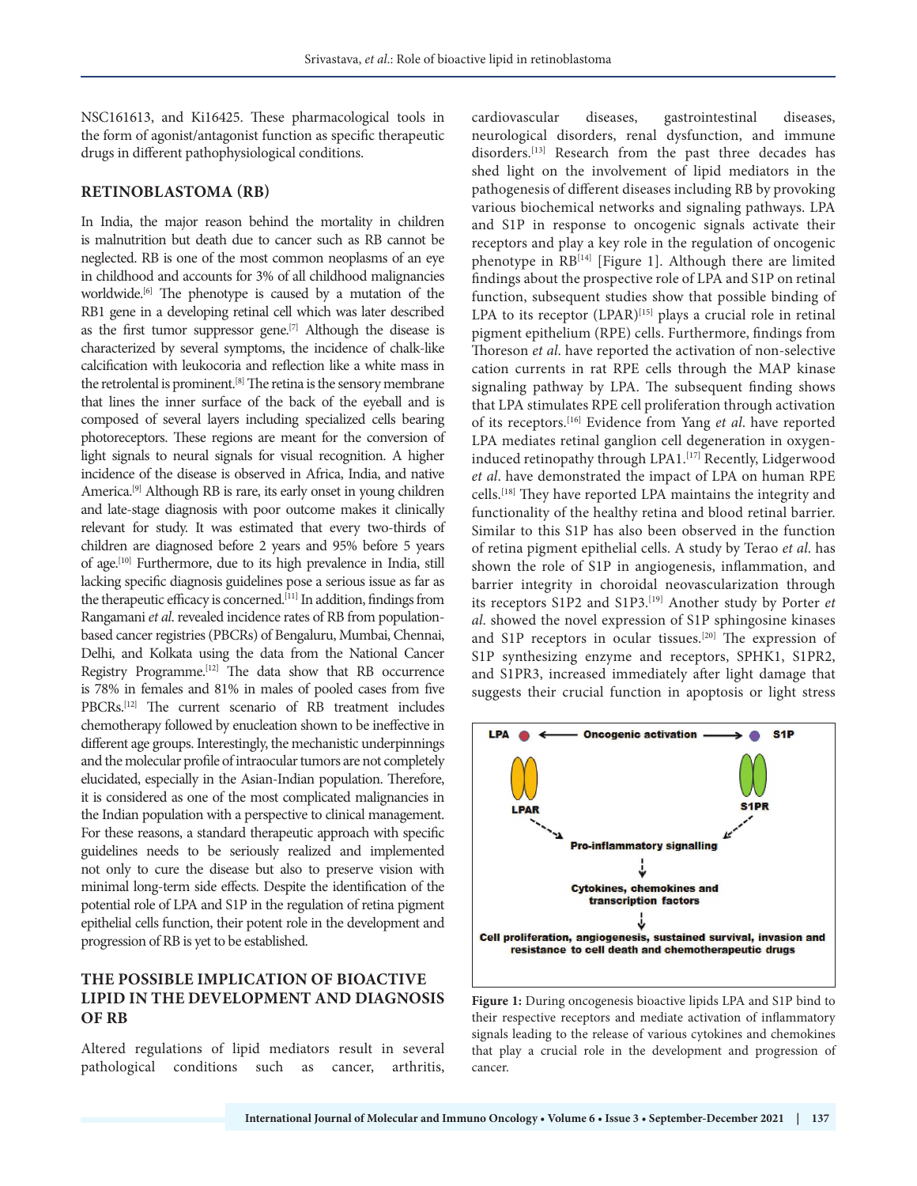NSC161613, and Ki16425. These pharmacological tools in the form of agonist/antagonist function as specific therapeutic drugs in different pathophysiological conditions.

### **RETINOBLASTOMA (RB)**

In India, the major reason behind the mortality in children is malnutrition but death due to cancer such as RB cannot be neglected. RB is one of the most common neoplasms of an eye in childhood and accounts for 3% of all childhood malignancies worldwide.<sup>[6]</sup> The phenotype is caused by a mutation of the RB1 gene in a developing retinal cell which was later described as the first tumor suppressor gene.<sup>[7]</sup> Although the disease is characterized by several symptoms, the incidence of chalk-like calcification with leukocoria and reflection like a white mass in the retrolental is prominent.[8] The retina is the sensory membrane that lines the inner surface of the back of the eyeball and is composed of several layers including specialized cells bearing photoreceptors. These regions are meant for the conversion of light signals to neural signals for visual recognition. A higher incidence of the disease is observed in Africa, India, and native America.[9] Although RB is rare, its early onset in young children and late-stage diagnosis with poor outcome makes it clinically relevant for study. It was estimated that every two-thirds of children are diagnosed before 2 years and 95% before 5 years of age.<sup>[10]</sup> Furthermore, due to its high prevalence in India, still lacking specific diagnosis guidelines pose a serious issue as far as the therapeutic efficacy is concerned.<sup>[11]</sup> In addition, findings from Rangamani *et al*. revealed incidence rates of RB from populationbased cancer registries (PBCRs) of Bengaluru, Mumbai, Chennai, Delhi, and Kolkata using the data from the National Cancer Registry Programme.[12] The data show that RB occurrence is 78% in females and 81% in males of pooled cases from five PBCRs.[12] The current scenario of RB treatment includes chemotherapy followed by enucleation shown to be ineffective in different age groups. Interestingly, the mechanistic underpinnings and the molecular profile of intraocular tumors are not completely elucidated, especially in the Asian-Indian population. Therefore, it is considered as one of the most complicated malignancies in the Indian population with a perspective to clinical management. For these reasons, a standard therapeutic approach with specific guidelines needs to be seriously realized and implemented not only to cure the disease but also to preserve vision with minimal long-term side effects. Despite the identification of the potential role of LPA and S1P in the regulation of retina pigment epithelial cells function, their potent role in the development and progression of RB is yet to be established.

# **THE POSSIBLE IMPLICATION OF BIOACTIVE LIPID IN THE DEVELOPMENT AND DIAGNOSIS OF RB**

Altered regulations of lipid mediators result in several pathological conditions such as cancer, arthritis, cardiovascular diseases, gastrointestinal diseases, neurological disorders, renal dysfunction, and immune disorders.<sup>[13]</sup> Research from the past three decades has shed light on the involvement of lipid mediators in the pathogenesis of different diseases including RB by provoking various biochemical networks and signaling pathways. LPA and S1P in response to oncogenic signals activate their receptors and play a key role in the regulation of oncogenic phenotype in RB<sup>[14]</sup> [Figure 1]. Although there are limited findings about the prospective role of LPA and S1P on retinal function, subsequent studies show that possible binding of LPA to its receptor  $(LPAR)^{[15]}$  plays a crucial role in retinal pigment epithelium (RPE) cells. Furthermore, findings from Thoreson *et al*. have reported the activation of non-selective cation currents in rat RPE cells through the MAP kinase signaling pathway by LPA. The subsequent finding shows that LPA stimulates RPE cell proliferation through activation of its receptors.[16] Evidence from Yang *et al*. have reported LPA mediates retinal ganglion cell degeneration in oxygeninduced retinopathy through LPA1.[17] Recently, Lidgerwood *et al*. have demonstrated the impact of LPA on human RPE cells.<sup>[18]</sup> They have reported LPA maintains the integrity and functionality of the healthy retina and blood retinal barrier. Similar to this S1P has also been observed in the function of retina pigment epithelial cells. A study by Terao *et al*. has shown the role of S1P in angiogenesis, inflammation, and barrier integrity in choroidal neovascularization through its receptors S1P2 and S1P3.[19] Another study by Porter *et al*. showed the novel expression of S1P sphingosine kinases and S1P receptors in ocular tissues.<sup>[20]</sup> The expression of S1P synthesizing enzyme and receptors, SPHK1, S1PR2, and S1PR3, increased immediately after light damage that suggests their crucial function in apoptosis or light stress



**Figure 1:** During oncogenesis bioactive lipids LPA and S1P bind to their respective receptors and mediate activation of inflammatory signals leading to the release of various cytokines and chemokines that play a crucial role in the development and progression of cancer.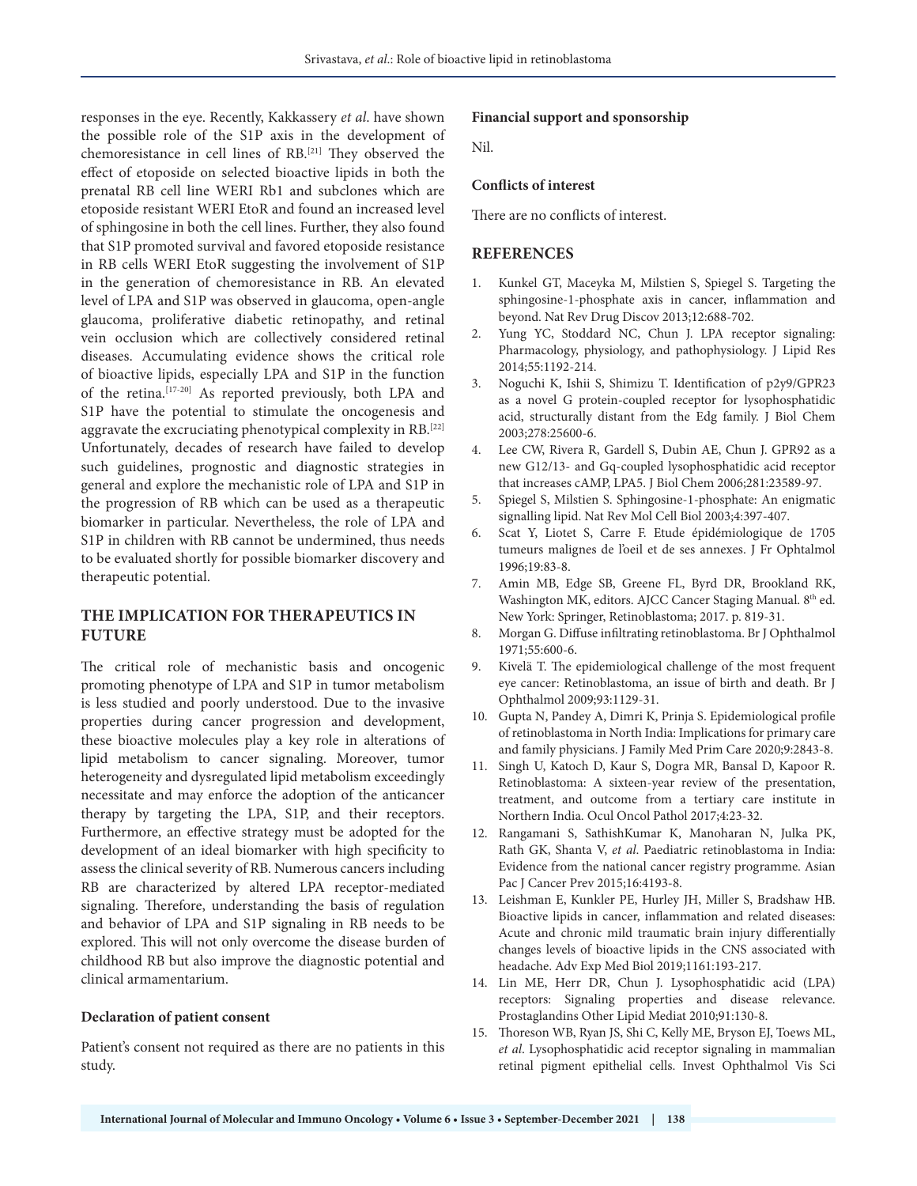responses in the eye. Recently, Kakkassery *et al*. have shown the possible role of the S1P axis in the development of chemoresistance in cell lines of RB.[21] They observed the effect of etoposide on selected bioactive lipids in both the prenatal RB cell line WERI Rb1 and subclones which are etoposide resistant WERI EtoR and found an increased level of sphingosine in both the cell lines. Further, they also found that S1P promoted survival and favored etoposide resistance in RB cells WERI EtoR suggesting the involvement of S1P in the generation of chemoresistance in RB. An elevated level of LPA and S1P was observed in glaucoma, open-angle glaucoma, proliferative diabetic retinopathy, and retinal vein occlusion which are collectively considered retinal diseases. Accumulating evidence shows the critical role of bioactive lipids, especially LPA and S1P in the function of the retina.[17-20] As reported previously, both LPA and S1P have the potential to stimulate the oncogenesis and aggravate the excruciating phenotypical complexity in RB.[22] Unfortunately, decades of research have failed to develop such guidelines, prognostic and diagnostic strategies in general and explore the mechanistic role of LPA and S1P in the progression of RB which can be used as a therapeutic biomarker in particular. Nevertheless, the role of LPA and S1P in children with RB cannot be undermined, thus needs to be evaluated shortly for possible biomarker discovery and therapeutic potential.

# **THE IMPLICATION FOR THERAPEUTICS IN FUTURE**

The critical role of mechanistic basis and oncogenic promoting phenotype of LPA and S1P in tumor metabolism is less studied and poorly understood. Due to the invasive properties during cancer progression and development, these bioactive molecules play a key role in alterations of lipid metabolism to cancer signaling. Moreover, tumor heterogeneity and dysregulated lipid metabolism exceedingly necessitate and may enforce the adoption of the anticancer therapy by targeting the LPA, S1P, and their receptors. Furthermore, an effective strategy must be adopted for the development of an ideal biomarker with high specificity to assess the clinical severity of RB. Numerous cancers including RB are characterized by altered LPA receptor-mediated signaling. Therefore, understanding the basis of regulation and behavior of LPA and S1P signaling in RB needs to be explored. This will not only overcome the disease burden of childhood RB but also improve the diagnostic potential and clinical armamentarium.

#### **Declaration of patient consent**

Patient's consent not required as there are no patients in this study.

#### **Financial support and sponsorship**

Nil.

#### **Conflicts of interest**

There are no conflicts of interest.

#### **REFERENCES**

- 1. Kunkel GT, Maceyka M, Milstien S, Spiegel S. Targeting the sphingosine-1-phosphate axis in cancer, inflammation and beyond. Nat Rev Drug Discov 2013;12:688-702.
- 2. Yung YC, Stoddard NC, Chun J. LPA receptor signaling: Pharmacology, physiology, and pathophysiology. J Lipid Res 2014;55:1192-214.
- 3. Noguchi K, Ishii S, Shimizu T. Identification of p2y9/GPR23 as a novel G protein-coupled receptor for lysophosphatidic acid, structurally distant from the Edg family. J Biol Chem 2003;278:25600-6.
- 4. Lee CW, Rivera R, Gardell S, Dubin AE, Chun J. GPR92 as a new G12/13- and Gq-coupled lysophosphatidic acid receptor that increases cAMP, LPA5. J Biol Chem 2006;281:23589-97.
- 5. Spiegel S, Milstien S. Sphingosine-1-phosphate: An enigmatic signalling lipid. Nat Rev Mol Cell Biol 2003;4:397-407.
- 6. Scat Y, Liotet S, Carre F. Etude épidémiologique de 1705 tumeurs malignes de l'oeil et de ses annexes. J Fr Ophtalmol 1996;19:83-8.
- 7. Amin MB, Edge SB, Greene FL, Byrd DR, Brookland RK, Washington MK, editors. AJCC Cancer Staging Manual. 8<sup>th</sup> ed. New York: Springer, Retinoblastoma; 2017. p. 819-31.
- 8. Morgan G. Diffuse infiltrating retinoblastoma. Br J Ophthalmol 1971;55:600-6.
- 9. Kivelä T. The epidemiological challenge of the most frequent eye cancer: Retinoblastoma, an issue of birth and death. Br J Ophthalmol 2009;93:1129-31.
- 10. Gupta N, Pandey A, Dimri K, Prinja S. Epidemiological profile of retinoblastoma in North India: Implications for primary care and family physicians. J Family Med Prim Care 2020;9:2843-8.
- 11. Singh U, Katoch D, Kaur S, Dogra MR, Bansal D, Kapoor R. Retinoblastoma: A sixteen-year review of the presentation, treatment, and outcome from a tertiary care institute in Northern India. Ocul Oncol Pathol 2017;4:23-32.
- 12. Rangamani S, SathishKumar K, Manoharan N, Julka PK, Rath GK, Shanta V, *et al*. Paediatric retinoblastoma in India: Evidence from the national cancer registry programme. Asian Pac J Cancer Prev 2015;16:4193-8.
- 13. Leishman E, Kunkler PE, Hurley JH, Miller S, Bradshaw HB. Bioactive lipids in cancer, inflammation and related diseases: Acute and chronic mild traumatic brain injury differentially changes levels of bioactive lipids in the CNS associated with headache. Adv Exp Med Biol 2019;1161:193-217.
- 14. Lin ME, Herr DR, Chun J. Lysophosphatidic acid (LPA) receptors: Signaling properties and disease relevance. Prostaglandins Other Lipid Mediat 2010;91:130-8.
- 15. Thoreson WB, Ryan JS, Shi C, Kelly ME, Bryson EJ, Toews ML, *et al*. Lysophosphatidic acid receptor signaling in mammalian retinal pigment epithelial cells. Invest Ophthalmol Vis Sci